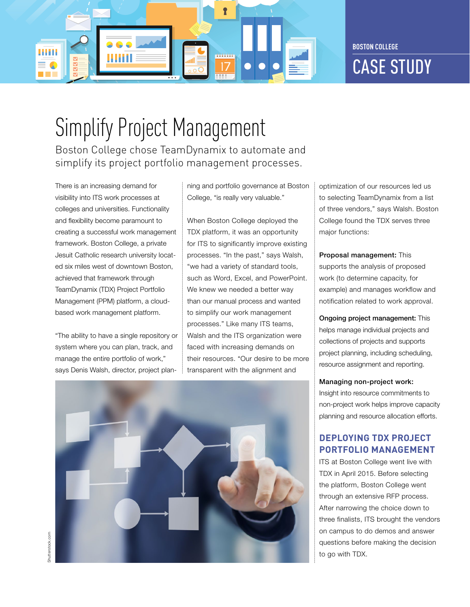

# Simplify Project Management

Boston College chose TeamDynamix to automate and simplify its project portfolio management processes.

There is an increasing demand for visibility into ITS work processes at colleges and universities. Functionality and flexibility become paramount to creating a successful work management framework. Boston College, a private Jesuit Catholic research university located six miles west of downtown Boston, achieved that framework through TeamDynamix (TDX) Project Portfolio Management (PPM) platform, a cloudbased work management platform.

"The ability to have a single repository or system where you can plan, track, and manage the entire portfolio of work," says Denis Walsh, director, project planning and portfolio governance at Boston College, "is really very valuable."

When Boston College deployed the TDX platform, it was an opportunity for ITS to significantly improve existing processes. "In the past," says Walsh, "we had a variety of standard tools, such as Word, Excel, and PowerPoint. We knew we needed a better way than our manual process and wanted to simplify our work management processes." Like many ITS teams, Walsh and the ITS organization were faced with increasing demands on their resources. "Our desire to be more transparent with the alignment and



optimization of our resources led us to selecting TeamDynamix from a list of three vendors," says Walsh. Boston College found the TDX serves three major functions:

Proposal management: This supports the analysis of proposed work (to determine capacity, for example) and manages workflow and notification related to work approval.

Ongoing project management: This helps manage individual projects and collections of projects and supports project planning, including scheduling, resource assignment and reporting.

Managing non-project work: Insight into resource commitments to non-project work helps improve capacity

planning and resource allocation efforts.

#### **DEPLOYING TDX PROJECT PORTFOLIO MANAGEMENT**

ITS at Boston College went live with TDX in April 2015. Before selecting the platform, Boston College went through an extensive RFP process. After narrowing the choice down to three finalists, ITS brought the vendors on campus to do demos and answer questions before making the decision to go with TDX.